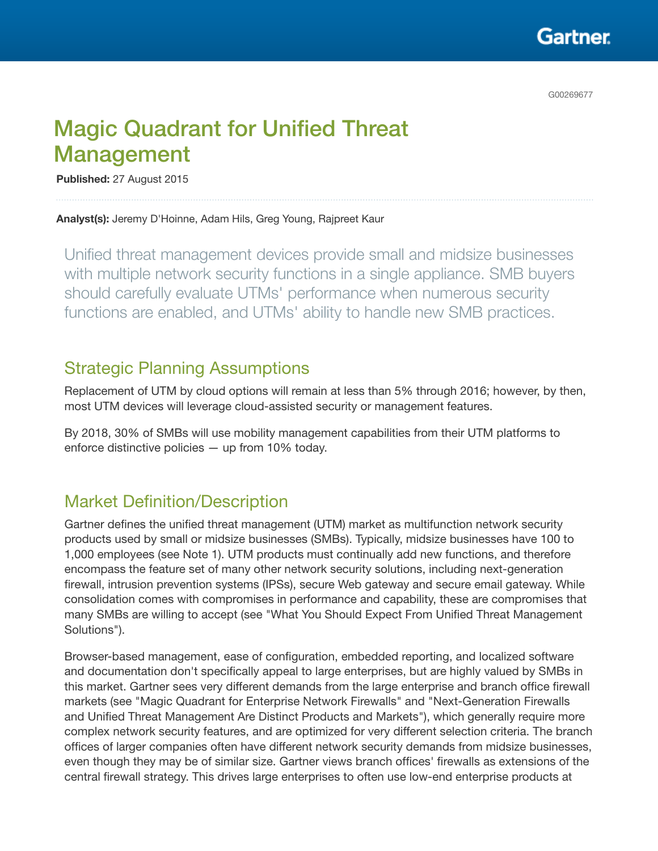

# Magic Quadrant for Unified Threat Management

Published: 27 August 2015

Analyst(s): Jeremy D'Hoinne, Adam Hils, Greg Young, Rajpreet Kaur

Unified threat management devices provide small and midsize businesses with multiple network security functions in a single appliance. SMB buyers should carefully evaluate UTMs' performance when numerous security functions are enabled, and UTMs' ability to handle new SMB practices.

## Strategic Planning Assumptions

Replacement of UTM by cloud options will remain at less than 5% through 2016; however, by then, most UTM devices will leverage cloud-assisted security or management features.

By 2018, 30% of SMBs will use mobility management capabilities from their UTM platforms to enforce distinctive policies — up from 10% today.

## Market Definition/Description

Gartner defines the unified threat management (UTM) market as multifunction network security products used by small or midsize businesses (SMBs). Typically, midsize businesses have 100 to 1,000 employees (see Note 1). UTM products must continually add new functions, and therefore encompass the feature set of many other network security solutions, including next-generation firewall, intrusion prevention systems (IPSs), secure Web gateway and secure email gateway. While consolidation comes with compromises in performance and capability, these are compromises that many SMBs are willing to accept (see "What You Should Expect From Unified Threat Management Solutions").

Browser-based management, ease of configuration, embedded reporting, and localized software and documentation don't specifically appeal to large enterprises, but are highly valued by SMBs in this market. Gartner sees very different demands from the large enterprise and branch office firewall markets (see "Magic Quadrant for Enterprise Network Firewalls" and "Next-Generation Firewalls and Unified Threat Management Are Distinct Products and Markets"), which generally require more complex network security features, and are optimized for very different selection criteria. The branch offices of larger companies often have different network security demands from midsize businesses, even though they may be of similar size. Gartner views branch offices' firewalls as extensions of the central firewall strategy. This drives large enterprises to often use low-end enterprise products at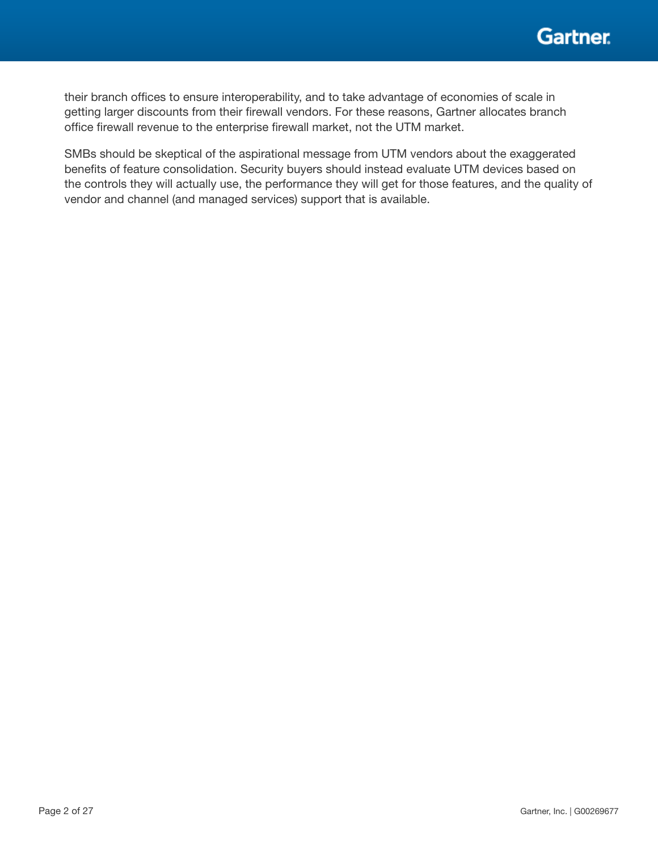

their branch offices to ensure interoperability, and to take advantage of economies of scale in getting larger discounts from their firewall vendors. For these reasons, Gartner allocates branch office firewall revenue to the enterprise firewall market, not the UTM market.

SMBs should be skeptical of the aspirational message from UTM vendors about the exaggerated benefits of feature consolidation. Security buyers should instead evaluate UTM devices based on the controls they will actually use, the performance they will get for those features, and the quality of vendor and channel (and managed services) support that is available.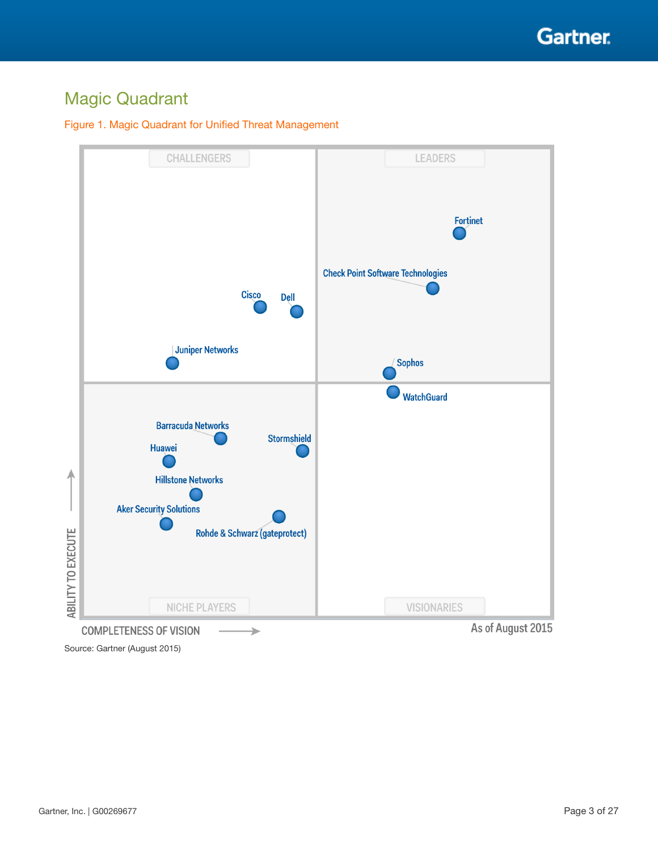

## Magic Quadrant

#### Figure 1. Magic Quadrant for Unified Threat Management



Source: Gartner (August 2015)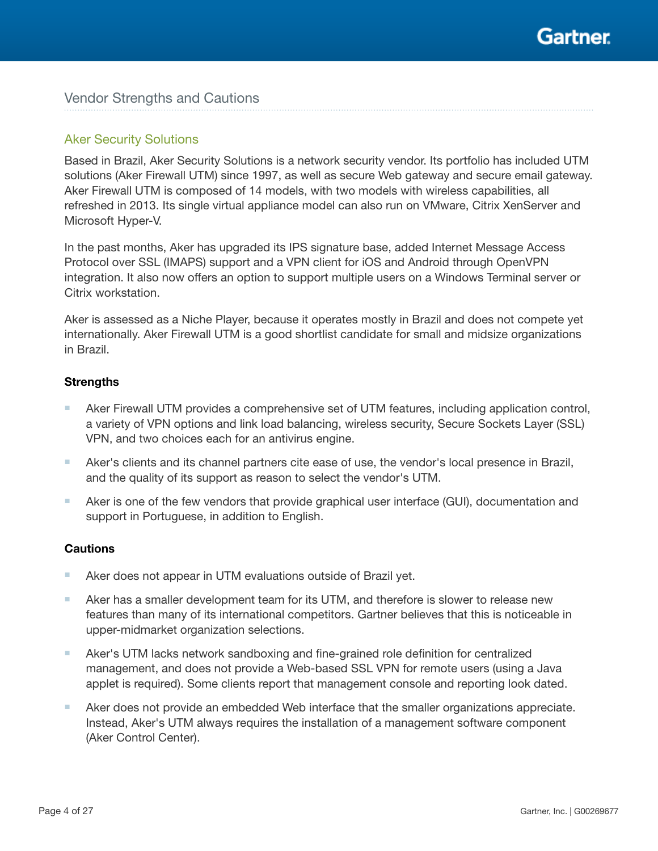

## Vendor Strengths and Cautions

#### Aker Security Solutions

Based in Brazil, Aker Security Solutions is a network security vendor. Its portfolio has included UTM solutions (Aker Firewall UTM) since 1997, as well as secure Web gateway and secure email gateway. Aker Firewall UTM is composed of 14 models, with two models with wireless capabilities, all refreshed in 2013. Its single virtual appliance model can also run on VMware, Citrix XenServer and Microsoft Hyper-V.

In the past months, Aker has upgraded its IPS signature base, added Internet Message Access Protocol over SSL (IMAPS) support and a VPN client for iOS and Android through OpenVPN integration. It also now offers an option to support multiple users on a Windows Terminal server or Citrix workstation.

Aker is assessed as a Niche Player, because it operates mostly in Brazil and does not compete yet internationally. Aker Firewall UTM is a good shortlist candidate for small and midsize organizations in Brazil.

#### **Strengths**

- Aker Firewall UTM provides a comprehensive set of UTM features, including application control, a variety of VPN options and link load balancing, wireless security, Secure Sockets Layer (SSL) VPN, and two choices each for an antivirus engine.
- Aker's clients and its channel partners cite ease of use, the vendor's local presence in Brazil, and the quality of its support as reason to select the vendor's UTM.
- Aker is one of the few vendors that provide graphical user interface (GUI), documentation and support in Portuguese, in addition to English.

- Aker does not appear in UTM evaluations outside of Brazil yet.
- Aker has a smaller development team for its UTM, and therefore is slower to release new features than many of its international competitors. Gartner believes that this is noticeable in upper-midmarket organization selections.
- Aker's UTM lacks network sandboxing and fine-grained role definition for centralized management, and does not provide a Web-based SSL VPN for remote users (using a Java applet is required). Some clients report that management console and reporting look dated.
- Aker does not provide an embedded Web interface that the smaller organizations appreciate. Instead, Aker's UTM always requires the installation of a management software component (Aker Control Center).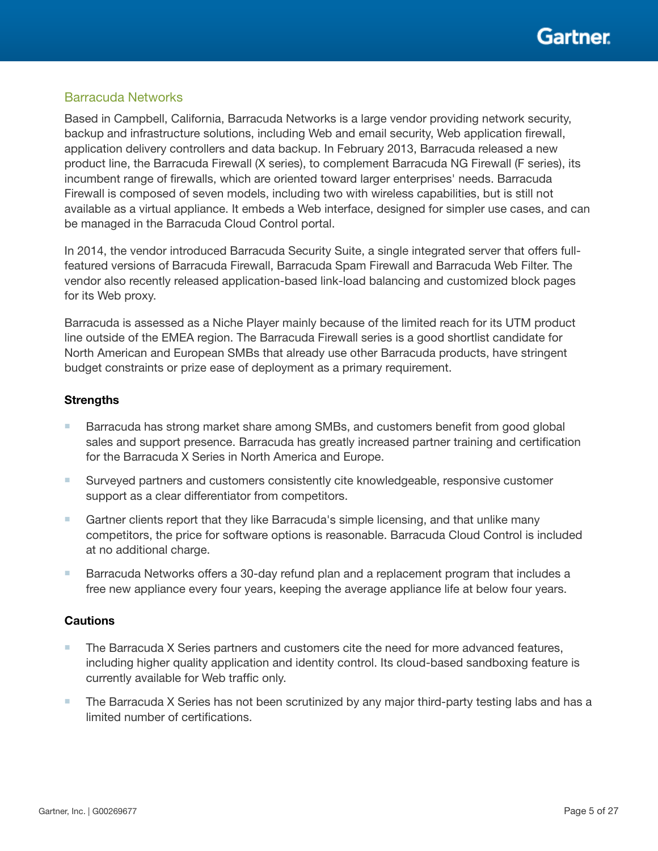

## Barracuda Networks

Based in Campbell, California, Barracuda Networks is a large vendor providing network security, backup and infrastructure solutions, including Web and email security, Web application firewall, application delivery controllers and data backup. In February 2013, Barracuda released a new product line, the Barracuda Firewall (X series), to complement Barracuda NG Firewall (F series), its incumbent range of firewalls, which are oriented toward larger enterprises' needs. Barracuda Firewall is composed of seven models, including two with wireless capabilities, but is still not available as a virtual appliance. It embeds a Web interface, designed for simpler use cases, and can be managed in the Barracuda Cloud Control portal.

In 2014, the vendor introduced Barracuda Security Suite, a single integrated server that offers fullfeatured versions of Barracuda Firewall, Barracuda Spam Firewall and Barracuda Web Filter. The vendor also recently released application-based link-load balancing and customized block pages for its Web proxy.

Barracuda is assessed as a Niche Player mainly because of the limited reach for its UTM product line outside of the EMEA region. The Barracuda Firewall series is a good shortlist candidate for North American and European SMBs that already use other Barracuda products, have stringent budget constraints or prize ease of deployment as a primary requirement.

#### **Strengths**

- Barracuda has strong market share among SMBs, and customers benefit from good global sales and support presence. Barracuda has greatly increased partner training and certification for the Barracuda X Series in North America and Europe.
- Surveyed partners and customers consistently cite knowledgeable, responsive customer support as a clear differentiator from competitors.
- Gartner clients report that they like Barracuda's simple licensing, and that unlike many competitors, the price for software options is reasonable. Barracuda Cloud Control is included at no additional charge.
- Barracuda Networks offers a 30-day refund plan and a replacement program that includes a free new appliance every four years, keeping the average appliance life at below four years.

- The Barracuda X Series partners and customers cite the need for more advanced features, including higher quality application and identity control. Its cloud-based sandboxing feature is currently available for Web traffic only.
- The Barracuda X Series has not been scrutinized by any major third-party testing labs and has a limited number of certifications.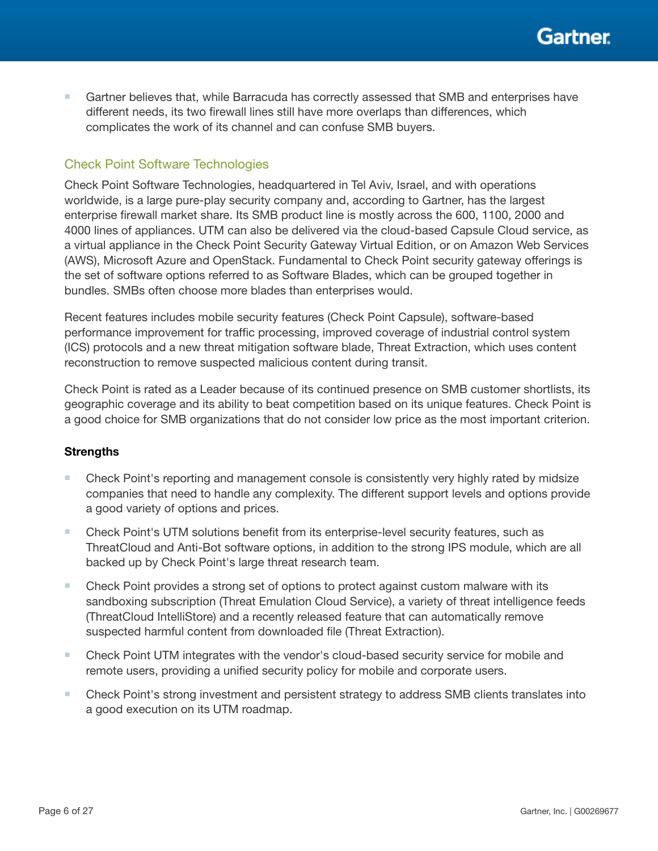

■ Gartner believes that, while Barracuda has correctly assessed that SMB and enterprises have different needs, its two firewall lines still have more overlaps than differences, which complicates the work of its channel and can confuse SMB buyers.

## Check Point Software Technologies

Check Point Software Technologies, headquartered in Tel Aviv, Israel, and with operations worldwide, is a large pure-play security company and, according to Gartner, has the largest enterprise firewall market share. Its SMB product line is mostly across the 600, 1100, 2000 and 4000 lines of appliances. UTM can also be delivered via the cloud-based Capsule Cloud service, as a virtual appliance in the Check Point Security Gateway Virtual Edition, or on Amazon Web Services (AWS), Microsoft Azure and OpenStack. Fundamental to Check Point security gateway offerings is the set of software options referred to as Software Blades, which can be grouped together in bundles. SMBs often choose more blades than enterprises would.

Recent features includes mobile security features (Check Point Capsule), software-based performance improvement for traffic processing, improved coverage of industrial control system (ICS) protocols and a new threat mitigation software blade, Threat Extraction, which uses content reconstruction to remove suspected malicious content during transit.

Check Point is rated as a Leader because of its continued presence on SMB customer shortlists, its geographic coverage and its ability to beat competition based on its unique features. Check Point is a good choice for SMB organizations that do not consider low price as the most important criterion.

- Check Point's reporting and management console is consistently very highly rated by midsize companies that need to handle any complexity. The different support levels and options provide a good variety of options and prices.
- Check Point's UTM solutions benefit from its enterprise-level security features, such as ThreatCloud and Anti-Bot software options, in addition to the strong IPS module, which are all backed up by Check Point's large threat research team.
- Check Point provides a strong set of options to protect against custom malware with its sandboxing subscription (Threat Emulation Cloud Service), a variety of threat intelligence feeds (ThreatCloud IntelliStore) and a recently released feature that can automatically remove suspected harmful content from downloaded file (Threat Extraction).
- Check Point UTM integrates with the vendor's cloud-based security service for mobile and remote users, providing a unified security policy for mobile and corporate users.
- Check Point's strong investment and persistent strategy to address SMB clients translates into a good execution on its UTM roadmap.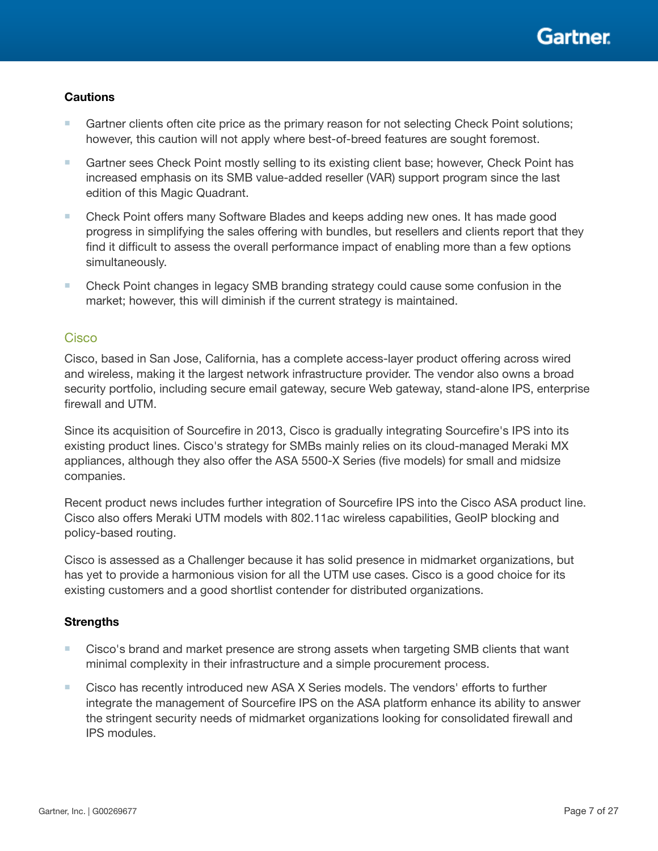- Gartner clients often cite price as the primary reason for not selecting Check Point solutions; however, this caution will not apply where best-of-breed features are sought foremost.
- Gartner sees Check Point mostly selling to its existing client base; however, Check Point has increased emphasis on its SMB value-added reseller (VAR) support program since the last edition of this Magic Quadrant.
- Check Point offers many Software Blades and keeps adding new ones. It has made good progress in simplifying the sales offering with bundles, but resellers and clients report that they find it difficult to assess the overall performance impact of enabling more than a few options simultaneously.
- Check Point changes in legacy SMB branding strategy could cause some confusion in the market; however, this will diminish if the current strategy is maintained.

### **Cisco**

Cisco, based in San Jose, California, has a complete access-layer product offering across wired and wireless, making it the largest network infrastructure provider. The vendor also owns a broad security portfolio, including secure email gateway, secure Web gateway, stand-alone IPS, enterprise firewall and UTM.

Since its acquisition of Sourcefire in 2013, Cisco is gradually integrating Sourcefire's IPS into its existing product lines. Cisco's strategy for SMBs mainly relies on its cloud-managed Meraki MX appliances, although they also offer the ASA 5500-X Series (five models) for small and midsize companies.

Recent product news includes further integration of Sourcefire IPS into the Cisco ASA product line. Cisco also offers Meraki UTM models with 802.11ac wireless capabilities, GeoIP blocking and policy-based routing.

Cisco is assessed as a Challenger because it has solid presence in midmarket organizations, but has yet to provide a harmonious vision for all the UTM use cases. Cisco is a good choice for its existing customers and a good shortlist contender for distributed organizations.

- Cisco's brand and market presence are strong assets when targeting SMB clients that want minimal complexity in their infrastructure and a simple procurement process.
- Cisco has recently introduced new ASA X Series models. The vendors' efforts to further integrate the management of Sourcefire IPS on the ASA platform enhance its ability to answer the stringent security needs of midmarket organizations looking for consolidated firewall and IPS modules.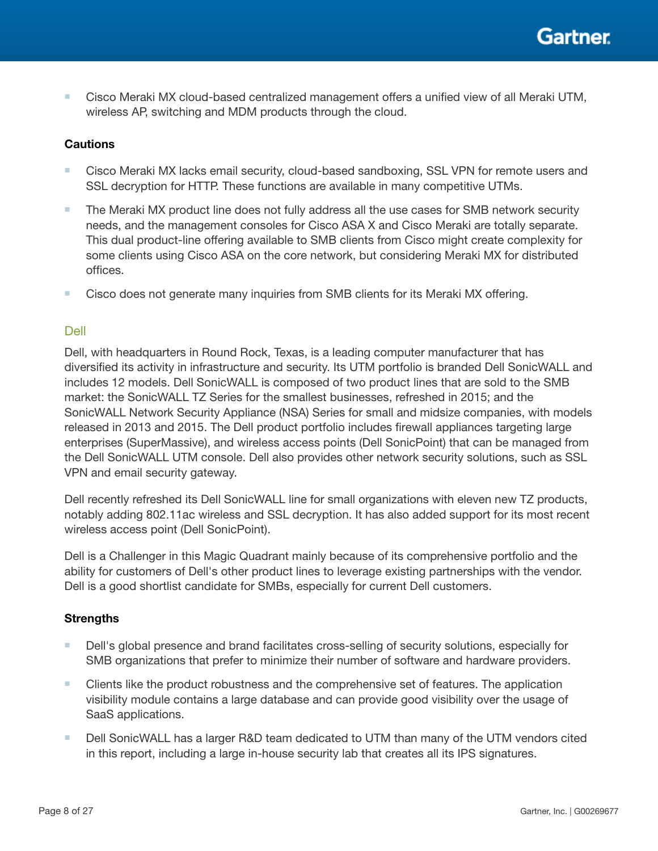■ Cisco Meraki MX cloud-based centralized management offers a unified view of all Meraki UTM, wireless AP, switching and MDM products through the cloud.

## **Cautions**

- Cisco Meraki MX lacks email security, cloud-based sandboxing, SSL VPN for remote users and SSL decryption for HTTP. These functions are available in many competitive UTMs.
- The Meraki MX product line does not fully address all the use cases for SMB network security needs, and the management consoles for Cisco ASA X and Cisco Meraki are totally separate. This dual product-line offering available to SMB clients from Cisco might create complexity for some clients using Cisco ASA on the core network, but considering Meraki MX for distributed offices.
- Cisco does not generate many inquiries from SMB clients for its Meraki MX offering.

## Dell

Dell, with headquarters in Round Rock, Texas, is a leading computer manufacturer that has diversified its activity in infrastructure and security. Its UTM portfolio is branded Dell SonicWALL and includes 12 models. Dell SonicWALL is composed of two product lines that are sold to the SMB market: the SonicWALL TZ Series for the smallest businesses, refreshed in 2015; and the SonicWALL Network Security Appliance (NSA) Series for small and midsize companies, with models released in 2013 and 2015. The Dell product portfolio includes firewall appliances targeting large enterprises (SuperMassive), and wireless access points (Dell SonicPoint) that can be managed from the Dell SonicWALL UTM console. Dell also provides other network security solutions, such as SSL VPN and email security gateway.

Dell recently refreshed its Dell SonicWALL line for small organizations with eleven new TZ products, notably adding 802.11ac wireless and SSL decryption. It has also added support for its most recent wireless access point (Dell SonicPoint).

Dell is a Challenger in this Magic Quadrant mainly because of its comprehensive portfolio and the ability for customers of Dell's other product lines to leverage existing partnerships with the vendor. Dell is a good shortlist candidate for SMBs, especially for current Dell customers.

- Dell's global presence and brand facilitates cross-selling of security solutions, especially for SMB organizations that prefer to minimize their number of software and hardware providers.
- Clients like the product robustness and the comprehensive set of features. The application visibility module contains a large database and can provide good visibility over the usage of SaaS applications.
- Dell SonicWALL has a larger R&D team dedicated to UTM than many of the UTM vendors cited in this report, including a large in-house security lab that creates all its IPS signatures.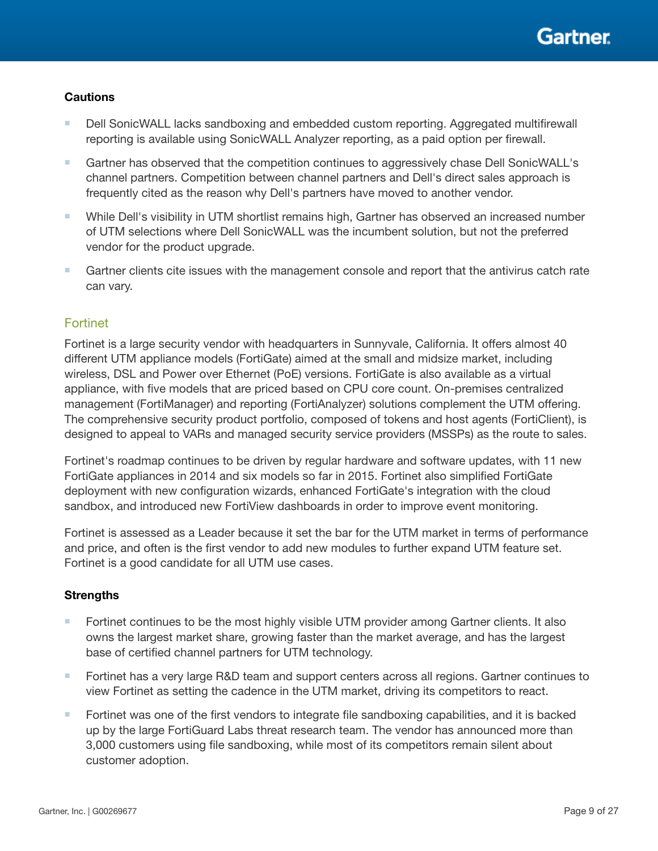- Dell SonicWALL lacks sandboxing and embedded custom reporting. Aggregated multifirewall reporting is available using SonicWALL Analyzer reporting, as a paid option per firewall.
- Gartner has observed that the competition continues to aggressively chase Dell SonicWALL's channel partners. Competition between channel partners and Dell's direct sales approach is frequently cited as the reason why Dell's partners have moved to another vendor.
- While Dell's visibility in UTM shortlist remains high, Gartner has observed an increased number of UTM selections where Dell SonicWALL was the incumbent solution, but not the preferred vendor for the product upgrade.
- Gartner clients cite issues with the management console and report that the antivirus catch rate can vary.

## **Fortinet**

Fortinet is a large security vendor with headquarters in Sunnyvale, California. It offers almost 40 different UTM appliance models (FortiGate) aimed at the small and midsize market, including wireless, DSL and Power over Ethernet (PoE) versions. FortiGate is also available as a virtual appliance, with five models that are priced based on CPU core count. On-premises centralized management (FortiManager) and reporting (FortiAnalyzer) solutions complement the UTM offering. The comprehensive security product portfolio, composed of tokens and host agents (FortiClient), is designed to appeal to VARs and managed security service providers (MSSPs) as the route to sales.

Fortinet's roadmap continues to be driven by regular hardware and software updates, with 11 new FortiGate appliances in 2014 and six models so far in 2015. Fortinet also simplified FortiGate deployment with new configuration wizards, enhanced FortiGate's integration with the cloud sandbox, and introduced new FortiView dashboards in order to improve event monitoring.

Fortinet is assessed as a Leader because it set the bar for the UTM market in terms of performance and price, and often is the first vendor to add new modules to further expand UTM feature set. Fortinet is a good candidate for all UTM use cases.

- Fortinet continues to be the most highly visible UTM provider among Gartner clients. It also owns the largest market share, growing faster than the market average, and has the largest base of certified channel partners for UTM technology.
- Fortinet has a very large R&D team and support centers across all regions. Gartner continues to view Fortinet as setting the cadence in the UTM market, driving its competitors to react.
- Fortinet was one of the first vendors to integrate file sandboxing capabilities, and it is backed up by the large FortiGuard Labs threat research team. The vendor has announced more than 3,000 customers using file sandboxing, while most of its competitors remain silent about customer adoption.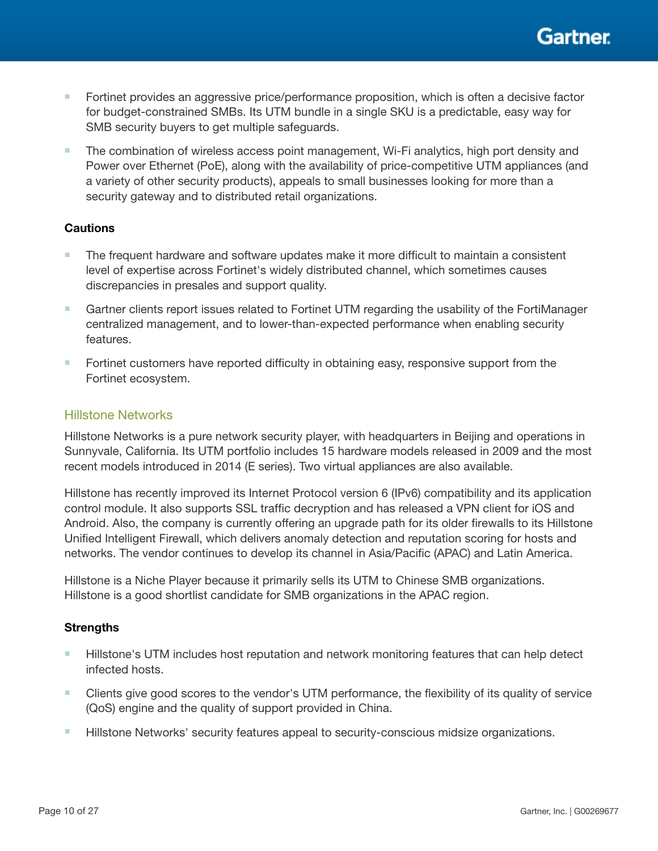

- Fortinet provides an aggressive price/performance proposition, which is often a decisive factor for budget-constrained SMBs. Its UTM bundle in a single SKU is a predictable, easy way for SMB security buyers to get multiple safeguards.
- The combination of wireless access point management, Wi-Fi analytics, high port density and Power over Ethernet (PoE), along with the availability of price-competitive UTM appliances (and a variety of other security products), appeals to small businesses looking for more than a security gateway and to distributed retail organizations.

- The frequent hardware and software updates make it more difficult to maintain a consistent level of expertise across Fortinet's widely distributed channel, which sometimes causes discrepancies in presales and support quality.
- Gartner clients report issues related to Fortinet UTM regarding the usability of the FortiManager centralized management, and to lower-than-expected performance when enabling security features.
- Fortinet customers have reported difficulty in obtaining easy, responsive support from the Fortinet ecosystem.

### Hillstone Networks

Hillstone Networks is a pure network security player, with headquarters in Beijing and operations in Sunnyvale, California. Its UTM portfolio includes 15 hardware models released in 2009 and the most recent models introduced in 2014 (E series). Two virtual appliances are also available.

Hillstone has recently improved its Internet Protocol version 6 (IPv6) compatibility and its application control module. It also supports SSL traffic decryption and has released a VPN client for iOS and Android. Also, the company is currently offering an upgrade path for its older firewalls to its Hillstone Unified Intelligent Firewall, which delivers anomaly detection and reputation scoring for hosts and networks. The vendor continues to develop its channel in Asia/Pacific (APAC) and Latin America.

Hillstone is a Niche Player because it primarily sells its UTM to Chinese SMB organizations. Hillstone is a good shortlist candidate for SMB organizations in the APAC region.

- Hillstone's UTM includes host reputation and network monitoring features that can help detect infected hosts.
- Clients give good scores to the vendor's UTM performance, the flexibility of its quality of service (QoS) engine and the quality of support provided in China.
- Hillstone Networks' security features appeal to security-conscious midsize organizations.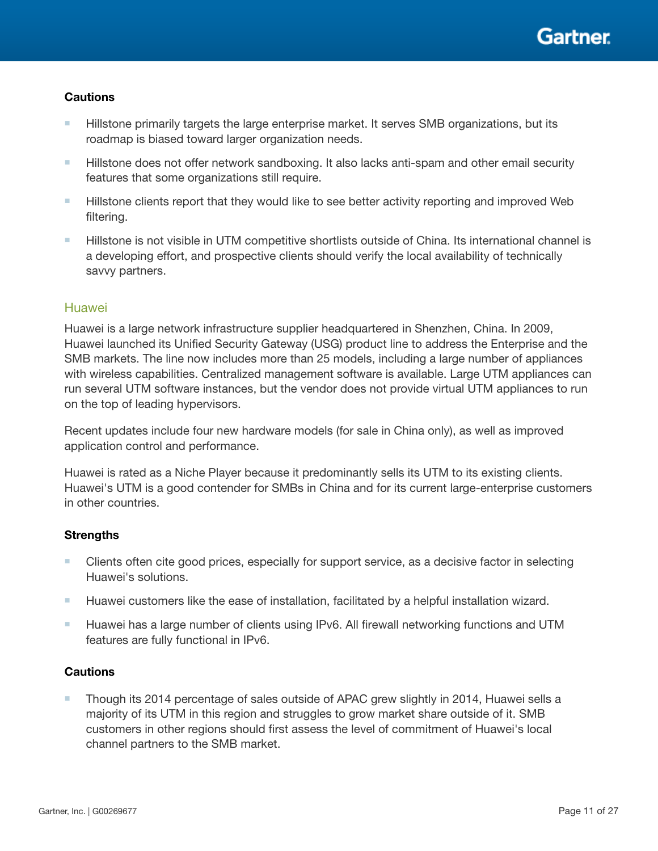- Hillstone primarily targets the large enterprise market. It serves SMB organizations, but its roadmap is biased toward larger organization needs.
- Hillstone does not offer network sandboxing. It also lacks anti-spam and other email security features that some organizations still require.
- Hillstone clients report that they would like to see better activity reporting and improved Web filtering.
- Hillstone is not visible in UTM competitive shortlists outside of China. Its international channel is a developing effort, and prospective clients should verify the local availability of technically savvy partners.

## **Huawei**

Huawei is a large network infrastructure supplier headquartered in Shenzhen, China. In 2009, Huawei launched its Unified Security Gateway (USG) product line to address the Enterprise and the SMB markets. The line now includes more than 25 models, including a large number of appliances with wireless capabilities. Centralized management software is available. Large UTM appliances can run several UTM software instances, but the vendor does not provide virtual UTM appliances to run on the top of leading hypervisors.

Recent updates include four new hardware models (for sale in China only), as well as improved application control and performance.

Huawei is rated as a Niche Player because it predominantly sells its UTM to its existing clients. Huawei's UTM is a good contender for SMBs in China and for its current large-enterprise customers in other countries.

## **Strengths**

- Clients often cite good prices, especially for support service, as a decisive factor in selecting Huawei's solutions.
- Huawei customers like the ease of installation, facilitated by a helpful installation wizard.
- Huawei has a large number of clients using IPv6. All firewall networking functions and UTM features are fully functional in IPv6.

#### **Cautions**

■ Though its 2014 percentage of sales outside of APAC grew slightly in 2014, Huawei sells a majority of its UTM in this region and struggles to grow market share outside of it. SMB customers in other regions should first assess the level of commitment of Huawei's local channel partners to the SMB market.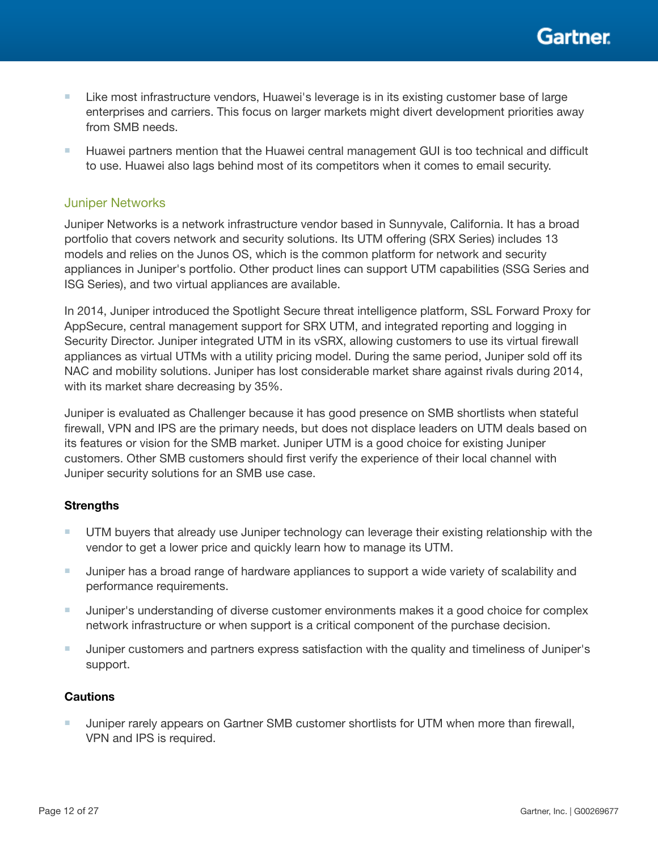Gartner

- Like most infrastructure vendors, Huawei's leverage is in its existing customer base of large enterprises and carriers. This focus on larger markets might divert development priorities away from SMB needs.
- Huawei partners mention that the Huawei central management GUI is too technical and difficult to use. Huawei also lags behind most of its competitors when it comes to email security.

#### Juniper Networks

Juniper Networks is a network infrastructure vendor based in Sunnyvale, California. It has a broad portfolio that covers network and security solutions. Its UTM offering (SRX Series) includes 13 models and relies on the Junos OS, which is the common platform for network and security appliances in Juniper's portfolio. Other product lines can support UTM capabilities (SSG Series and ISG Series), and two virtual appliances are available.

In 2014, Juniper introduced the Spotlight Secure threat intelligence platform, SSL Forward Proxy for AppSecure, central management support for SRX UTM, and integrated reporting and logging in Security Director. Juniper integrated UTM in its vSRX, allowing customers to use its virtual firewall appliances as virtual UTMs with a utility pricing model. During the same period, Juniper sold off its NAC and mobility solutions. Juniper has lost considerable market share against rivals during 2014, with its market share decreasing by 35%.

Juniper is evaluated as Challenger because it has good presence on SMB shortlists when stateful firewall, VPN and IPS are the primary needs, but does not displace leaders on UTM deals based on its features or vision for the SMB market. Juniper UTM is a good choice for existing Juniper customers. Other SMB customers should first verify the experience of their local channel with Juniper security solutions for an SMB use case.

#### **Strengths**

- UTM buyers that already use Juniper technology can leverage their existing relationship with the vendor to get a lower price and quickly learn how to manage its UTM.
- Juniper has a broad range of hardware appliances to support a wide variety of scalability and performance requirements.
- Juniper's understanding of diverse customer environments makes it a good choice for complex network infrastructure or when support is a critical component of the purchase decision.
- Juniper customers and partners express satisfaction with the quality and timeliness of Juniper's support.

#### **Cautions**

■ Juniper rarely appears on Gartner SMB customer shortlists for UTM when more than firewall, VPN and IPS is required.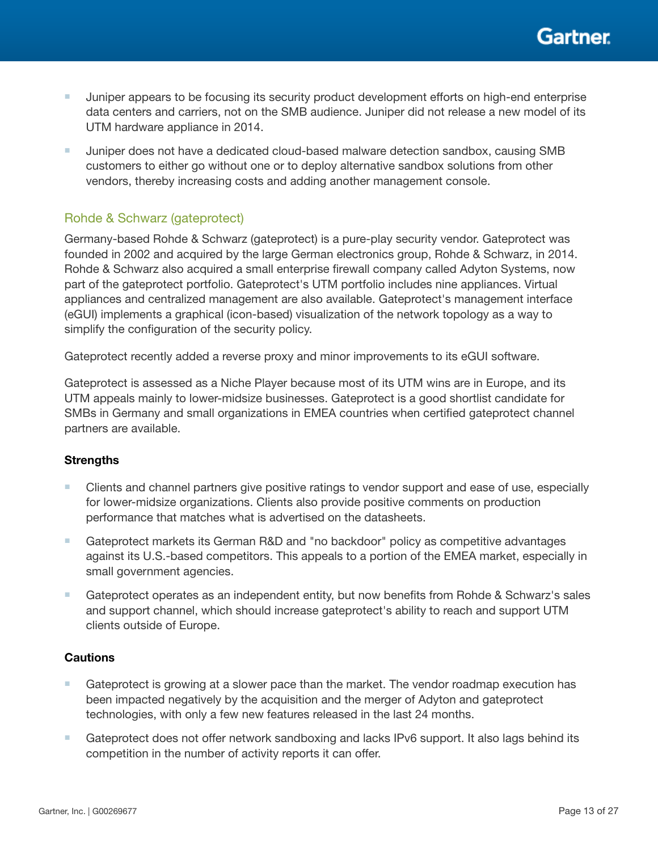

- Juniper appears to be focusing its security product development efforts on high-end enterprise data centers and carriers, not on the SMB audience. Juniper did not release a new model of its UTM hardware appliance in 2014.
- Juniper does not have a dedicated cloud-based malware detection sandbox, causing SMB customers to either go without one or to deploy alternative sandbox solutions from other vendors, thereby increasing costs and adding another management console.

## Rohde & Schwarz (gateprotect)

Germany-based Rohde & Schwarz (gateprotect) is a pure-play security vendor. Gateprotect was founded in 2002 and acquired by the large German electronics group, Rohde & Schwarz, in 2014. Rohde & Schwarz also acquired a small enterprise firewall company called Adyton Systems, now part of the gateprotect portfolio. Gateprotect's UTM portfolio includes nine appliances. Virtual appliances and centralized management are also available. Gateprotect's management interface (eGUI) implements a graphical (icon-based) visualization of the network topology as a way to simplify the configuration of the security policy.

Gateprotect recently added a reverse proxy and minor improvements to its eGUI software.

Gateprotect is assessed as a Niche Player because most of its UTM wins are in Europe, and its UTM appeals mainly to lower-midsize businesses. Gateprotect is a good shortlist candidate for SMBs in Germany and small organizations in EMEA countries when certified gateprotect channel partners are available.

#### **Strengths**

- Clients and channel partners give positive ratings to vendor support and ease of use, especially for lower-midsize organizations. Clients also provide positive comments on production performance that matches what is advertised on the datasheets.
- Gateprotect markets its German R&D and "no backdoor" policy as competitive advantages against its U.S.-based competitors. This appeals to a portion of the EMEA market, especially in small government agencies.
- Gateprotect operates as an independent entity, but now benefits from Rohde & Schwarz's sales and support channel, which should increase gateprotect's ability to reach and support UTM clients outside of Europe.

- Gateprotect is growing at a slower pace than the market. The vendor roadmap execution has been impacted negatively by the acquisition and the merger of Adyton and gateprotect technologies, with only a few new features released in the last 24 months.
- Gateprotect does not offer network sandboxing and lacks IPv6 support. It also lags behind its competition in the number of activity reports it can offer.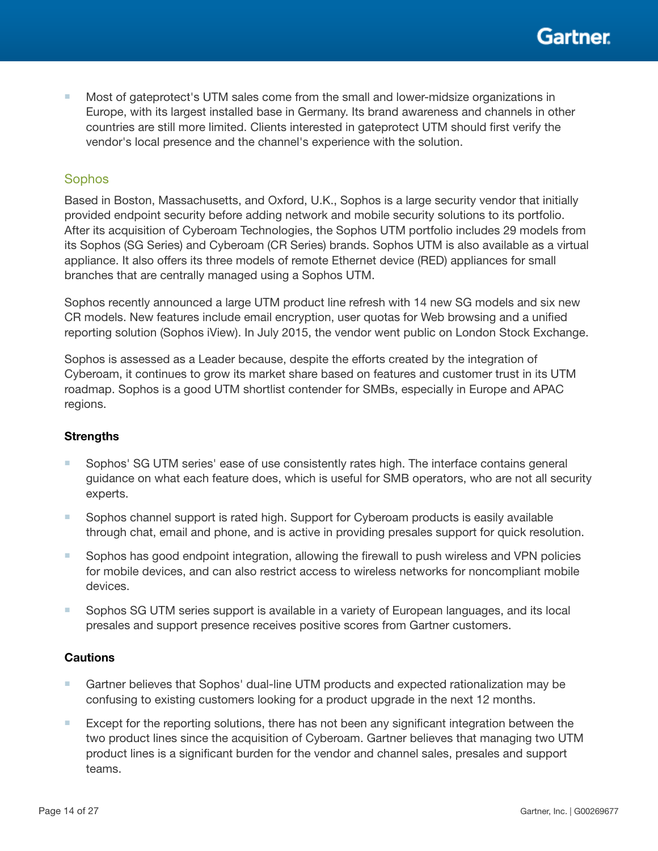

Most of gateprotect's UTM sales come from the small and lower-midsize organizations in Europe, with its largest installed base in Germany. Its brand awareness and channels in other countries are still more limited. Clients interested in gateprotect UTM should first verify the vendor's local presence and the channel's experience with the solution.

#### **Sophos**

Based in Boston, Massachusetts, and Oxford, U.K., Sophos is a large security vendor that initially provided endpoint security before adding network and mobile security solutions to its portfolio. After its acquisition of Cyberoam Technologies, the Sophos UTM portfolio includes 29 models from its Sophos (SG Series) and Cyberoam (CR Series) brands. Sophos UTM is also available as a virtual appliance. It also offers its three models of remote Ethernet device (RED) appliances for small branches that are centrally managed using a Sophos UTM.

Sophos recently announced a large UTM product line refresh with 14 new SG models and six new CR models. New features include email encryption, user quotas for Web browsing and a unified reporting solution (Sophos iView). In July 2015, the vendor went public on London Stock Exchange.

Sophos is assessed as a Leader because, despite the efforts created by the integration of Cyberoam, it continues to grow its market share based on features and customer trust in its UTM roadmap. Sophos is a good UTM shortlist contender for SMBs, especially in Europe and APAC regions.

#### **Strengths**

- Sophos' SG UTM series' ease of use consistently rates high. The interface contains general guidance on what each feature does, which is useful for SMB operators, who are not all security experts.
- Sophos channel support is rated high. Support for Cyberoam products is easily available through chat, email and phone, and is active in providing presales support for quick resolution.
- Sophos has good endpoint integration, allowing the firewall to push wireless and VPN policies for mobile devices, and can also restrict access to wireless networks for noncompliant mobile devices.
- Sophos SG UTM series support is available in a variety of European languages, and its local presales and support presence receives positive scores from Gartner customers.

- Gartner believes that Sophos' dual-line UTM products and expected rationalization may be confusing to existing customers looking for a product upgrade in the next 12 months.
- Except for the reporting solutions, there has not been any significant integration between the two product lines since the acquisition of Cyberoam. Gartner believes that managing two UTM product lines is a significant burden for the vendor and channel sales, presales and support teams.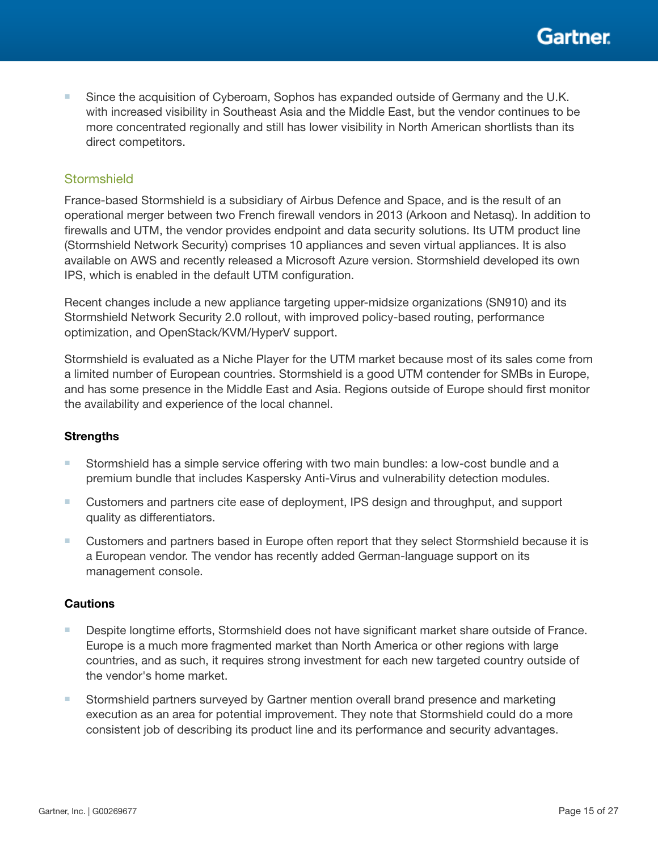■ Since the acquisition of Cyberoam, Sophos has expanded outside of Germany and the U.K. with increased visibility in Southeast Asia and the Middle East, but the vendor continues to be more concentrated regionally and still has lower visibility in North American shortlists than its direct competitors.

### **Stormshield**

France-based Stormshield is a subsidiary of Airbus Defence and Space, and is the result of an operational merger between two French firewall vendors in 2013 (Arkoon and Netasq). In addition to firewalls and UTM, the vendor provides endpoint and data security solutions. Its UTM product line (Stormshield Network Security) comprises 10 appliances and seven virtual appliances. It is also available on AWS and recently released a Microsoft Azure version. Stormshield developed its own IPS, which is enabled in the default UTM configuration.

Recent changes include a new appliance targeting upper-midsize organizations (SN910) and its Stormshield Network Security 2.0 rollout, with improved policy-based routing, performance optimization, and OpenStack/KVM/HyperV support.

Stormshield is evaluated as a Niche Player for the UTM market because most of its sales come from a limited number of European countries. Stormshield is a good UTM contender for SMBs in Europe, and has some presence in the Middle East and Asia. Regions outside of Europe should first monitor the availability and experience of the local channel.

#### **Strengths**

- Stormshield has a simple service offering with two main bundles: a low-cost bundle and a premium bundle that includes Kaspersky Anti-Virus and vulnerability detection modules.
- Customers and partners cite ease of deployment, IPS design and throughput, and support quality as differentiators.
- Customers and partners based in Europe often report that they select Stormshield because it is a European vendor. The vendor has recently added German-language support on its management console.

- Despite longtime efforts, Stormshield does not have significant market share outside of France. Europe is a much more fragmented market than North America or other regions with large countries, and as such, it requires strong investment for each new targeted country outside of the vendor's home market.
- Stormshield partners surveyed by Gartner mention overall brand presence and marketing execution as an area for potential improvement. They note that Stormshield could do a more consistent job of describing its product line and its performance and security advantages.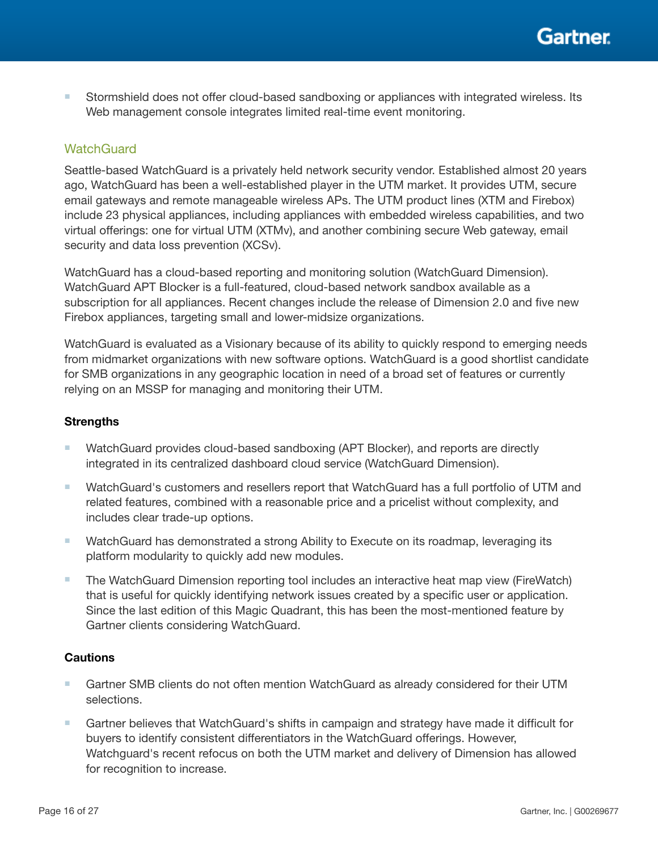■ Stormshield does not offer cloud-based sandboxing or appliances with integrated wireless. Its Web management console integrates limited real-time event monitoring.

## **WatchGuard**

Seattle-based WatchGuard is a privately held network security vendor. Established almost 20 years ago, WatchGuard has been a well-established player in the UTM market. It provides UTM, secure email gateways and remote manageable wireless APs. The UTM product lines (XTM and Firebox) include 23 physical appliances, including appliances with embedded wireless capabilities, and two virtual offerings: one for virtual UTM (XTMv), and another combining secure Web gateway, email security and data loss prevention (XCSv).

WatchGuard has a cloud-based reporting and monitoring solution (WatchGuard Dimension). WatchGuard APT Blocker is a full-featured, cloud-based network sandbox available as a subscription for all appliances. Recent changes include the release of Dimension 2.0 and five new Firebox appliances, targeting small and lower-midsize organizations.

WatchGuard is evaluated as a Visionary because of its ability to quickly respond to emerging needs from midmarket organizations with new software options. WatchGuard is a good shortlist candidate for SMB organizations in any geographic location in need of a broad set of features or currently relying on an MSSP for managing and monitoring their UTM.

### **Strengths**

- WatchGuard provides cloud-based sandboxing (APT Blocker), and reports are directly integrated in its centralized dashboard cloud service (WatchGuard Dimension).
- WatchGuard's customers and resellers report that WatchGuard has a full portfolio of UTM and related features, combined with a reasonable price and a pricelist without complexity, and includes clear trade-up options.
- WatchGuard has demonstrated a strong Ability to Execute on its roadmap, leveraging its platform modularity to quickly add new modules.
- The WatchGuard Dimension reporting tool includes an interactive heat map view (FireWatch) that is useful for quickly identifying network issues created by a specific user or application. Since the last edition of this Magic Quadrant, this has been the most-mentioned feature by Gartner clients considering WatchGuard.

- Gartner SMB clients do not often mention WatchGuard as already considered for their UTM selections.
- Gartner believes that WatchGuard's shifts in campaign and strategy have made it difficult for buyers to identify consistent differentiators in the WatchGuard offerings. However, Watchguard's recent refocus on both the UTM market and delivery of Dimension has allowed for recognition to increase.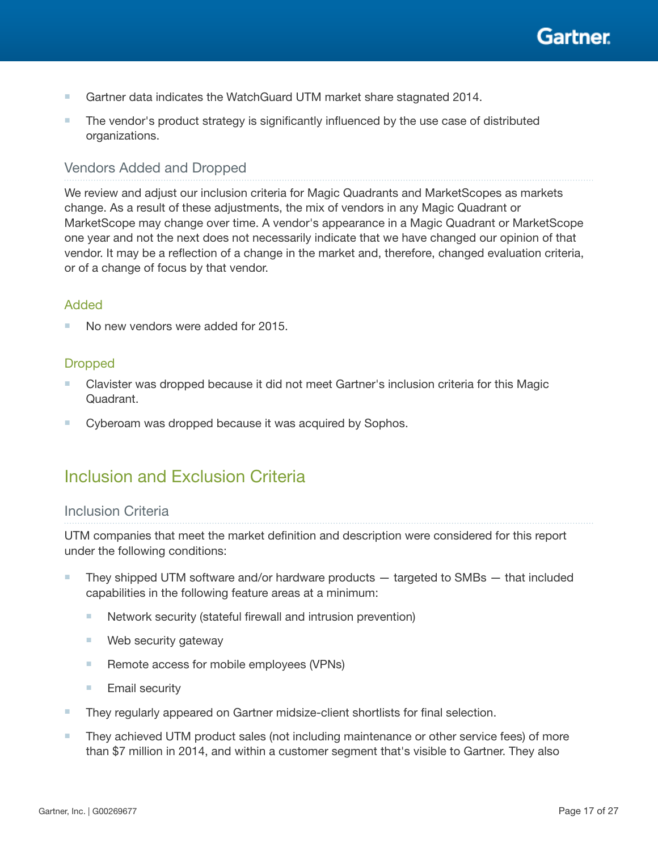

- Gartner data indicates the WatchGuard UTM market share stagnated 2014.
- The vendor's product strategy is significantly influenced by the use case of distributed organizations.

## Vendors Added and Dropped

We review and adjust our inclusion criteria for Magic Quadrants and MarketScopes as markets change. As a result of these adjustments, the mix of vendors in any Magic Quadrant or MarketScope may change over time. A vendor's appearance in a Magic Quadrant or MarketScope one year and not the next does not necessarily indicate that we have changed our opinion of that vendor. It may be a reflection of a change in the market and, therefore, changed evaluation criteria, or of a change of focus by that vendor.

## Added

No new vendors were added for 2015.

## **Dropped**

- Clavister was dropped because it did not meet Gartner's inclusion criteria for this Magic Quadrant.
- Cyberoam was dropped because it was acquired by Sophos.

## Inclusion and Exclusion Criteria

#### Inclusion Criteria

UTM companies that meet the market definition and description were considered for this report under the following conditions:

- They shipped UTM software and/or hardware products targeted to SMBs that included capabilities in the following feature areas at a minimum:
	- Network security (stateful firewall and intrusion prevention)
	- Web security gateway
	- Remote access for mobile employees (VPNs)
	- Email security
- They regularly appeared on Gartner midsize-client shortlists for final selection.
- They achieved UTM product sales (not including maintenance or other service fees) of more than \$7 million in 2014, and within a customer segment that's visible to Gartner. They also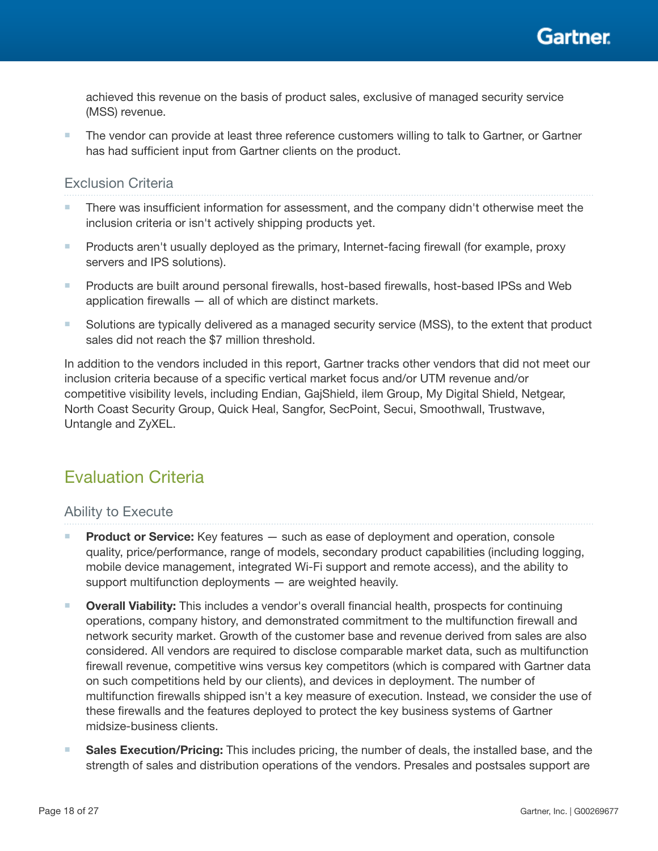

achieved this revenue on the basis of product sales, exclusive of managed security service (MSS) revenue.

■ The vendor can provide at least three reference customers willing to talk to Gartner, or Gartner has had sufficient input from Gartner clients on the product.

## Exclusion Criteria

- There was insufficient information for assessment, and the company didn't otherwise meet the inclusion criteria or isn't actively shipping products yet.
- Products aren't usually deployed as the primary, Internet-facing firewall (for example, proxy servers and IPS solutions).
- Products are built around personal firewalls, host-based firewalls, host-based IPSs and Web application firewalls — all of which are distinct markets.
- Solutions are typically delivered as a managed security service (MSS), to the extent that product sales did not reach the \$7 million threshold.

In addition to the vendors included in this report, Gartner tracks other vendors that did not meet our inclusion criteria because of a specific vertical market focus and/or UTM revenue and/or competitive visibility levels, including Endian, GajShield, ilem Group, My Digital Shield, Netgear, North Coast Security Group, Quick Heal, Sangfor, SecPoint, Secui, Smoothwall, Trustwave, Untangle and ZyXEL.

## Evaluation Criteria

## Ability to Execute

- **Product or Service:** Key features such as ease of deployment and operation, console quality, price/performance, range of models, secondary product capabilities (including logging, mobile device management, integrated Wi-Fi support and remote access), and the ability to support multifunction deployments — are weighted heavily.
- Overall Viability: This includes a vendor's overall financial health, prospects for continuing operations, company history, and demonstrated commitment to the multifunction firewall and network security market. Growth of the customer base and revenue derived from sales are also considered. All vendors are required to disclose comparable market data, such as multifunction firewall revenue, competitive wins versus key competitors (which is compared with Gartner data on such competitions held by our clients), and devices in deployment. The number of multifunction firewalls shipped isn't a key measure of execution. Instead, we consider the use of these firewalls and the features deployed to protect the key business systems of Gartner midsize-business clients.
- Sales Execution/Pricing: This includes pricing, the number of deals, the installed base, and the strength of sales and distribution operations of the vendors. Presales and postsales support are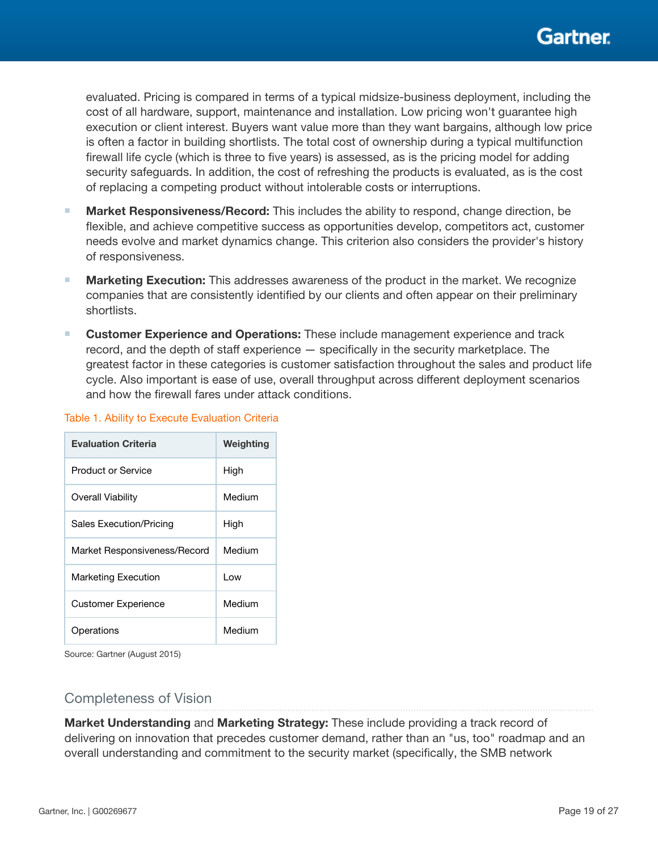evaluated. Pricing is compared in terms of a typical midsize-business deployment, including the cost of all hardware, support, maintenance and installation. Low pricing won't guarantee high execution or client interest. Buyers want value more than they want bargains, although low price is often a factor in building shortlists. The total cost of ownership during a typical multifunction firewall life cycle (which is three to five years) is assessed, as is the pricing model for adding security safeguards. In addition, the cost of refreshing the products is evaluated, as is the cost of replacing a competing product without intolerable costs or interruptions.

- Market Responsiveness/Record: This includes the ability to respond, change direction, be flexible, and achieve competitive success as opportunities develop, competitors act, customer needs evolve and market dynamics change. This criterion also considers the provider's history of responsiveness.
- Marketing Execution: This addresses awareness of the product in the market. We recognize companies that are consistently identified by our clients and often appear on their preliminary shortlists.
- Customer Experience and Operations: These include management experience and track record, and the depth of staff experience — specifically in the security marketplace. The greatest factor in these categories is customer satisfaction throughout the sales and product life cycle. Also important is ease of use, overall throughput across different deployment scenarios and how the firewall fares under attack conditions.

| <b>Evaluation Criteria</b>   | Weighting |
|------------------------------|-----------|
| Product or Service           | High      |
| Overall Viability            | Medium    |
| Sales Execution/Pricing      | High      |
| Market Responsiveness/Record | Medium    |
| <b>Marketing Execution</b>   | l ow      |
| <b>Customer Experience</b>   | Medium    |
| Operations                   | Medium    |

#### Table 1. Ability to Execute Evaluation Criteria

Source: Gartner (August 2015)

## Completeness of Vision

Market Understanding and Marketing Strategy: These include providing a track record of delivering on innovation that precedes customer demand, rather than an "us, too" roadmap and an overall understanding and commitment to the security market (specifically, the SMB network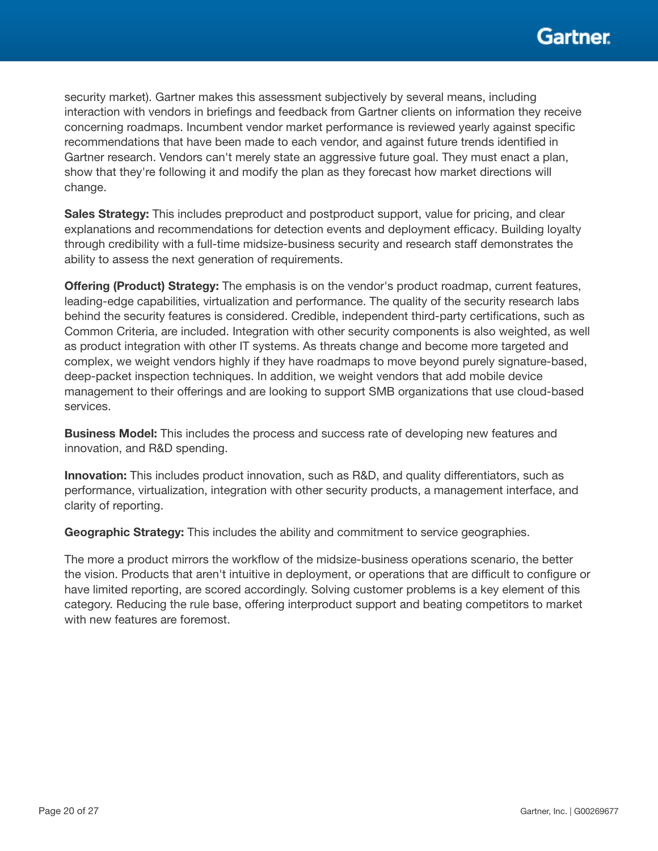security market). Gartner makes this assessment subjectively by several means, including interaction with vendors in briefings and feedback from Gartner clients on information they receive concerning roadmaps. Incumbent vendor market performance is reviewed yearly against specific recommendations that have been made to each vendor, and against future trends identified in Gartner research. Vendors can't merely state an aggressive future goal. They must enact a plan, show that they're following it and modify the plan as they forecast how market directions will change.

Sales Strategy: This includes preproduct and postproduct support, value for pricing, and clear explanations and recommendations for detection events and deployment efficacy. Building loyalty through credibility with a full-time midsize-business security and research staff demonstrates the ability to assess the next generation of requirements.

**Offering (Product) Strategy:** The emphasis is on the vendor's product roadmap, current features, leading-edge capabilities, virtualization and performance. The quality of the security research labs behind the security features is considered. Credible, independent third-party certifications, such as Common Criteria, are included. Integration with other security components is also weighted, as well as product integration with other IT systems. As threats change and become more targeted and complex, we weight vendors highly if they have roadmaps to move beyond purely signature-based, deep-packet inspection techniques. In addition, we weight vendors that add mobile device management to their offerings and are looking to support SMB organizations that use cloud-based services.

Business Model: This includes the process and success rate of developing new features and innovation, and R&D spending.

Innovation: This includes product innovation, such as R&D, and quality differentiators, such as performance, virtualization, integration with other security products, a management interface, and clarity of reporting.

Geographic Strategy: This includes the ability and commitment to service geographies.

The more a product mirrors the workflow of the midsize-business operations scenario, the better the vision. Products that aren't intuitive in deployment, or operations that are difficult to configure or have limited reporting, are scored accordingly. Solving customer problems is a key element of this category. Reducing the rule base, offering interproduct support and beating competitors to market with new features are foremost.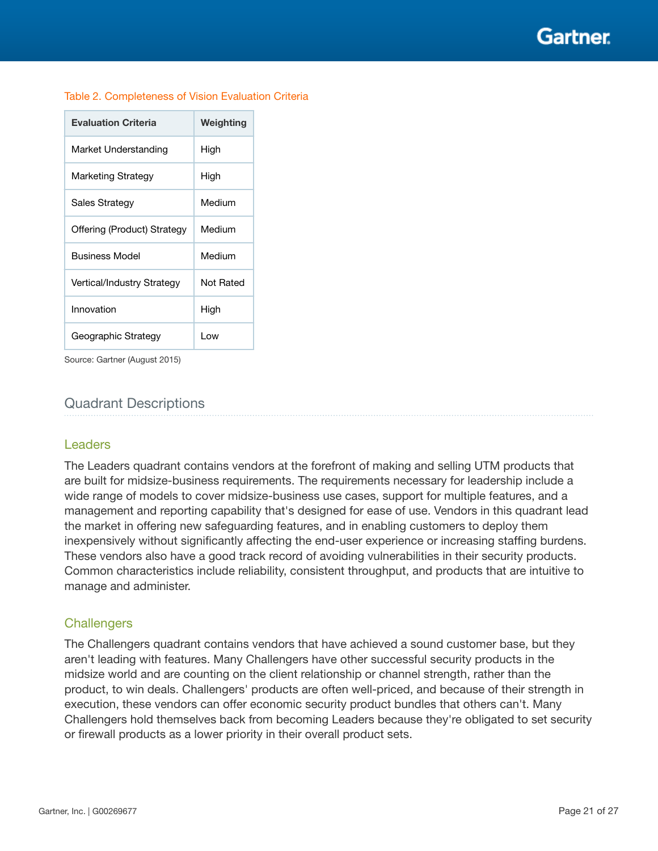Gartner

| <b>Evaluation Criteria</b>  | Weighting |
|-----------------------------|-----------|
| Market Understanding        | High      |
| Marketing Strategy          | High      |
| Sales Strategy              | Medium    |
| Offering (Product) Strategy | Medium    |
| <b>Business Model</b>       | Medium    |
| Vertical/Industry Strategy  | Not Rated |
| Innovation                  | High      |
| Geographic Strategy         | Low       |

Source: Gartner (August 2015)

## Quadrant Descriptions

#### Leaders

The Leaders quadrant contains vendors at the forefront of making and selling UTM products that are built for midsize-business requirements. The requirements necessary for leadership include a wide range of models to cover midsize-business use cases, support for multiple features, and a management and reporting capability that's designed for ease of use. Vendors in this quadrant lead the market in offering new safeguarding features, and in enabling customers to deploy them inexpensively without significantly affecting the end-user experience or increasing staffing burdens. These vendors also have a good track record of avoiding vulnerabilities in their security products. Common characteristics include reliability, consistent throughput, and products that are intuitive to manage and administer.

#### **Challengers**

The Challengers quadrant contains vendors that have achieved a sound customer base, but they aren't leading with features. Many Challengers have other successful security products in the midsize world and are counting on the client relationship or channel strength, rather than the product, to win deals. Challengers' products are often well-priced, and because of their strength in execution, these vendors can offer economic security product bundles that others can't. Many Challengers hold themselves back from becoming Leaders because they're obligated to set security or firewall products as a lower priority in their overall product sets.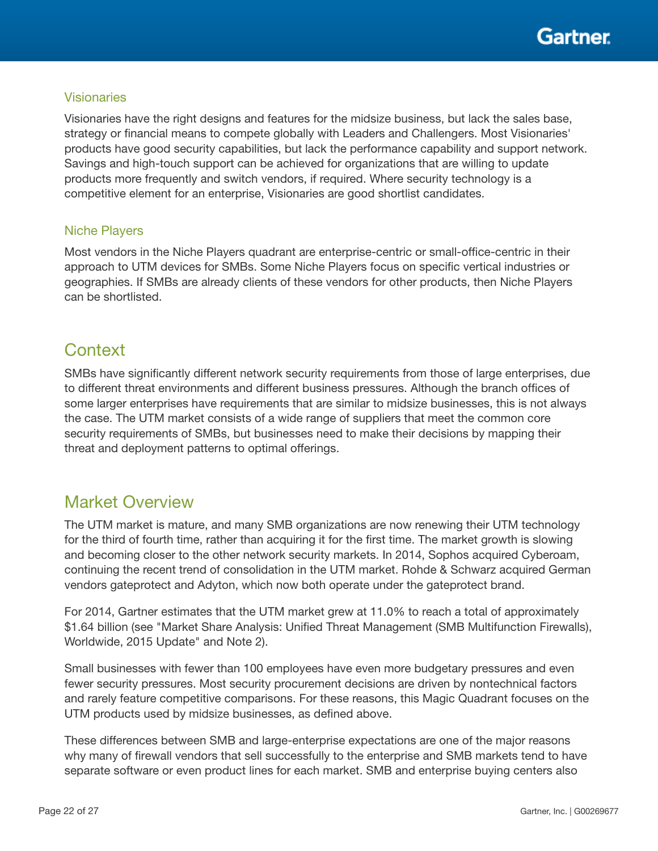

### **Visionaries**

Visionaries have the right designs and features for the midsize business, but lack the sales base, strategy or financial means to compete globally with Leaders and Challengers. Most Visionaries' products have good security capabilities, but lack the performance capability and support network. Savings and high-touch support can be achieved for organizations that are willing to update products more frequently and switch vendors, if required. Where security technology is a competitive element for an enterprise, Visionaries are good shortlist candidates.

### Niche Players

Most vendors in the Niche Players quadrant are enterprise-centric or small-office-centric in their approach to UTM devices for SMBs. Some Niche Players focus on specific vertical industries or geographies. If SMBs are already clients of these vendors for other products, then Niche Players can be shortlisted.

## **Context**

SMBs have significantly different network security requirements from those of large enterprises, due to different threat environments and different business pressures. Although the branch offices of some larger enterprises have requirements that are similar to midsize businesses, this is not always the case. The UTM market consists of a wide range of suppliers that meet the common core security requirements of SMBs, but businesses need to make their decisions by mapping their threat and deployment patterns to optimal offerings.

## Market Overview

The UTM market is mature, and many SMB organizations are now renewing their UTM technology for the third of fourth time, rather than acquiring it for the first time. The market growth is slowing and becoming closer to the other network security markets. In 2014, Sophos acquired Cyberoam, continuing the recent trend of consolidation in the UTM market. Rohde & Schwarz acquired German vendors gateprotect and Adyton, which now both operate under the gateprotect brand.

For 2014, Gartner estimates that the UTM market grew at 11.0% to reach a total of approximately \$1.64 billion (see "Market Share Analysis: Unified Threat Management (SMB Multifunction Firewalls), Worldwide, 2015 Update" and Note 2).

Small businesses with fewer than 100 employees have even more budgetary pressures and even fewer security pressures. Most security procurement decisions are driven by nontechnical factors and rarely feature competitive comparisons. For these reasons, this Magic Quadrant focuses on the UTM products used by midsize businesses, as defined above.

These differences between SMB and large-enterprise expectations are one of the major reasons why many of firewall vendors that sell successfully to the enterprise and SMB markets tend to have separate software or even product lines for each market. SMB and enterprise buying centers also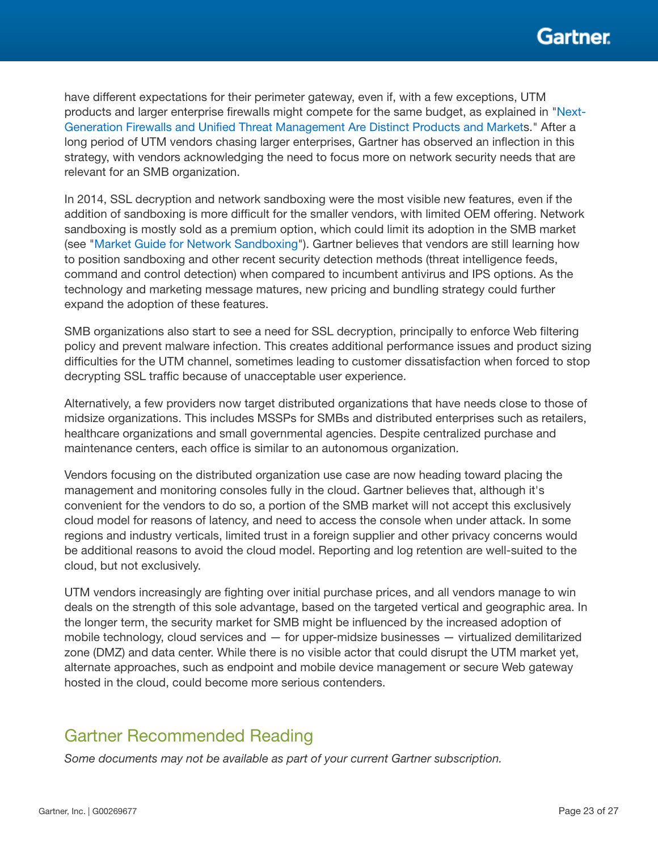have different expectations for their perimeter gateway, even if, with a few exceptions, UTM products and larger enterprise firewalls might compete for the same budget, as explained in ["Next-](https://www.gartner.com/document/2973220)[Generation Firewalls and Unified Threat Management Are Distinct Products and Market](https://www.gartner.com/document/2973220)s." After a long period of UTM vendors chasing larger enterprises, Gartner has observed an inflection in this strategy, with vendors acknowledging the need to focus more on network security needs that are relevant for an SMB organization.

In 2014, SSL decryption and network sandboxing were the most visible new features, even if the addition of sandboxing is more difficult for the smaller vendors, with limited OEM offering. Network sandboxing is mostly sold as a premium option, which could limit its adoption in the SMB market (see "[Market Guide for Network Sandboxing](https://www.gartner.com/document/2995621)"). Gartner believes that vendors are still learning how to position sandboxing and other recent security detection methods (threat intelligence feeds, command and control detection) when compared to incumbent antivirus and IPS options. As the technology and marketing message matures, new pricing and bundling strategy could further expand the adoption of these features.

SMB organizations also start to see a need for SSL decryption, principally to enforce Web filtering policy and prevent malware infection. This creates additional performance issues and product sizing difficulties for the UTM channel, sometimes leading to customer dissatisfaction when forced to stop decrypting SSL traffic because of unacceptable user experience.

Alternatively, a few providers now target distributed organizations that have needs close to those of midsize organizations. This includes MSSPs for SMBs and distributed enterprises such as retailers, healthcare organizations and small governmental agencies. Despite centralized purchase and maintenance centers, each office is similar to an autonomous organization.

Vendors focusing on the distributed organization use case are now heading toward placing the management and monitoring consoles fully in the cloud. Gartner believes that, although it's convenient for the vendors to do so, a portion of the SMB market will not accept this exclusively cloud model for reasons of latency, and need to access the console when under attack. In some regions and industry verticals, limited trust in a foreign supplier and other privacy concerns would be additional reasons to avoid the cloud model. Reporting and log retention are well-suited to the cloud, but not exclusively.

UTM vendors increasingly are fighting over initial purchase prices, and all vendors manage to win deals on the strength of this sole advantage, based on the targeted vertical and geographic area. In the longer term, the security market for SMB might be influenced by the increased adoption of mobile technology, cloud services and — for upper-midsize businesses — virtualized demilitarized zone (DMZ) and data center. While there is no visible actor that could disrupt the UTM market yet, alternate approaches, such as endpoint and mobile device management or secure Web gateway hosted in the cloud, could become more serious contenders.

## Gartner Recommended Reading

*Some documents may not be available as part of your current Gartner subscription.*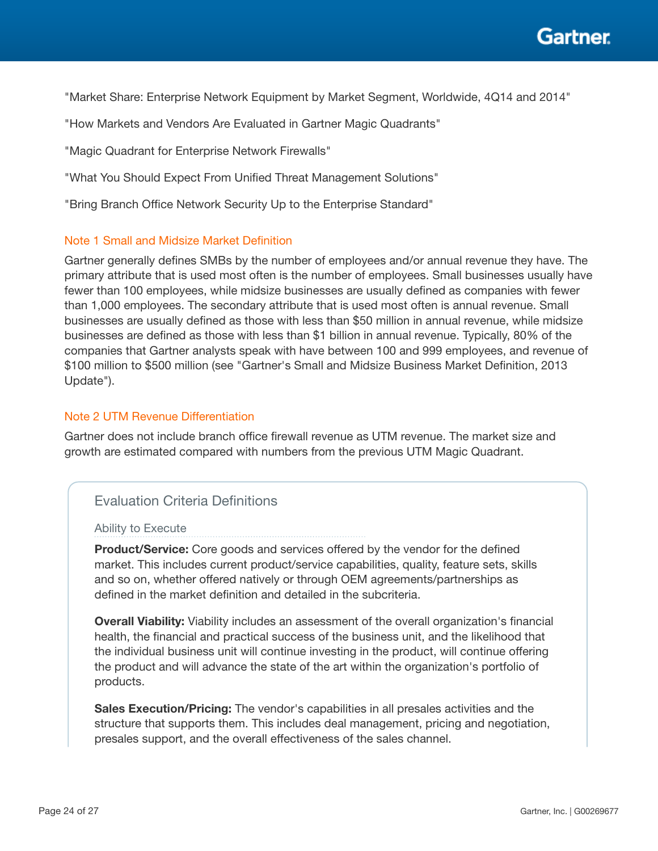"Market Share: Enterprise Network Equipment by Market Segment, Worldwide, 4Q14 and 2014"

"How Markets and Vendors Are Evaluated in Gartner Magic Quadrants"

"Magic Quadrant for Enterprise Network Firewalls"

"What You Should Expect From Unified Threat Management Solutions"

"Bring Branch Office Network Security Up to the Enterprise Standard"

### Note 1 Small and Midsize Market Definition

Gartner generally defines SMBs by the number of employees and/or annual revenue they have. The primary attribute that is used most often is the number of employees. Small businesses usually have fewer than 100 employees, while midsize businesses are usually defined as companies with fewer than 1,000 employees. The secondary attribute that is used most often is annual revenue. Small businesses are usually defined as those with less than \$50 million in annual revenue, while midsize businesses are defined as those with less than \$1 billion in annual revenue. Typically, 80% of the companies that Gartner analysts speak with have between 100 and 999 employees, and revenue of \$100 million to \$500 million (see "Gartner's Small and Midsize Business Market Definition, 2013 Update").

### Note 2 UTM Revenue Differentiation

Gartner does not include branch office firewall revenue as UTM revenue. The market size and growth are estimated compared with numbers from the previous UTM Magic Quadrant.

## Evaluation Criteria Definitions

#### Ability to Execute

Product/Service: Core goods and services offered by the vendor for the defined market. This includes current product/service capabilities, quality, feature sets, skills and so on, whether offered natively or through OEM agreements/partnerships as defined in the market definition and detailed in the subcriteria.

**Overall Viability:** Viability includes an assessment of the overall organization's financial health, the financial and practical success of the business unit, and the likelihood that the individual business unit will continue investing in the product, will continue offering the product and will advance the state of the art within the organization's portfolio of products.

Sales Execution/Pricing: The vendor's capabilities in all presales activities and the structure that supports them. This includes deal management, pricing and negotiation, presales support, and the overall effectiveness of the sales channel.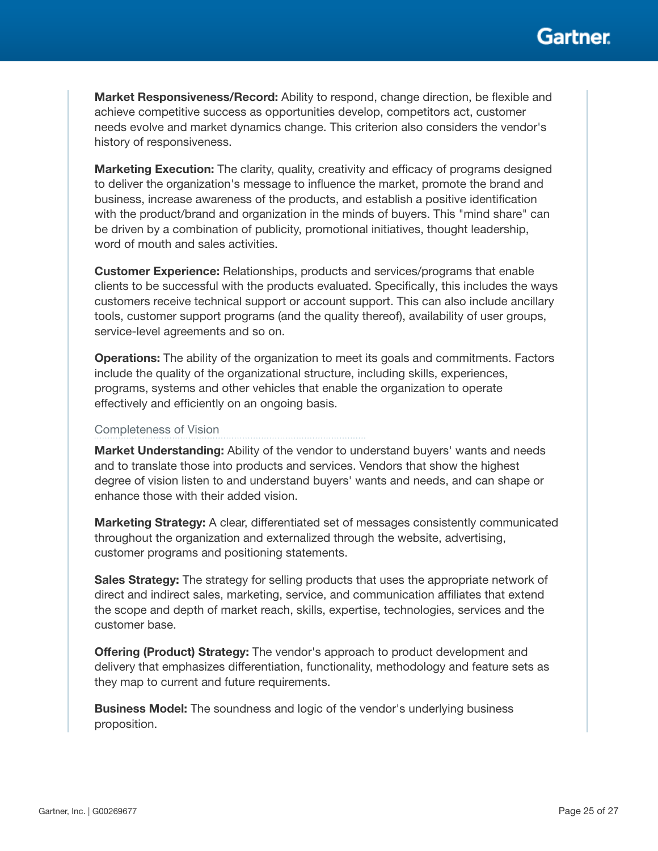

Market Responsiveness/Record: Ability to respond, change direction, be flexible and achieve competitive success as opportunities develop, competitors act, customer needs evolve and market dynamics change. This criterion also considers the vendor's history of responsiveness.

**Marketing Execution:** The clarity, quality, creativity and efficacy of programs designed to deliver the organization's message to influence the market, promote the brand and business, increase awareness of the products, and establish a positive identification with the product/brand and organization in the minds of buyers. This "mind share" can be driven by a combination of publicity, promotional initiatives, thought leadership, word of mouth and sales activities.

Customer Experience: Relationships, products and services/programs that enable clients to be successful with the products evaluated. Specifically, this includes the ways customers receive technical support or account support. This can also include ancillary tools, customer support programs (and the quality thereof), availability of user groups, service-level agreements and so on.

**Operations:** The ability of the organization to meet its goals and commitments. Factors include the quality of the organizational structure, including skills, experiences, programs, systems and other vehicles that enable the organization to operate effectively and efficiently on an ongoing basis.

#### Completeness of Vision

**Market Understanding:** Ability of the vendor to understand buyers' wants and needs and to translate those into products and services. Vendors that show the highest degree of vision listen to and understand buyers' wants and needs, and can shape or enhance those with their added vision.

Marketing Strategy: A clear, differentiated set of messages consistently communicated throughout the organization and externalized through the website, advertising, customer programs and positioning statements.

**Sales Strategy:** The strategy for selling products that uses the appropriate network of direct and indirect sales, marketing, service, and communication affiliates that extend the scope and depth of market reach, skills, expertise, technologies, services and the customer base.

Offering (Product) Strategy: The vendor's approach to product development and delivery that emphasizes differentiation, functionality, methodology and feature sets as they map to current and future requirements.

**Business Model:** The soundness and logic of the vendor's underlying business proposition.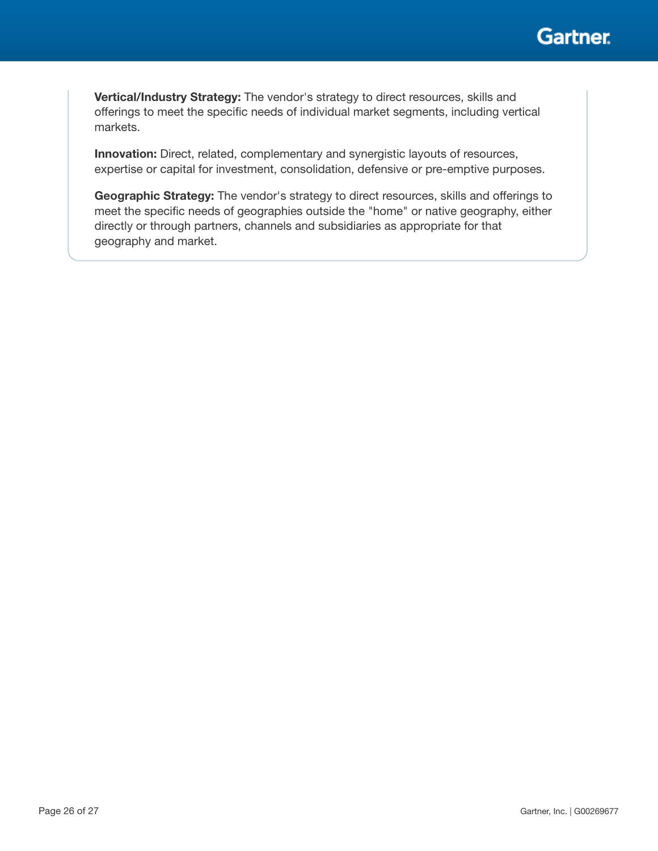

Vertical/Industry Strategy: The vendor's strategy to direct resources, skills and offerings to meet the specific needs of individual market segments, including vertical markets.

Innovation: Direct, related, complementary and synergistic layouts of resources, expertise or capital for investment, consolidation, defensive or pre-emptive purposes.

Geographic Strategy: The vendor's strategy to direct resources, skills and offerings to meet the specific needs of geographies outside the "home" or native geography, either directly or through partners, channels and subsidiaries as appropriate for that geography and market.